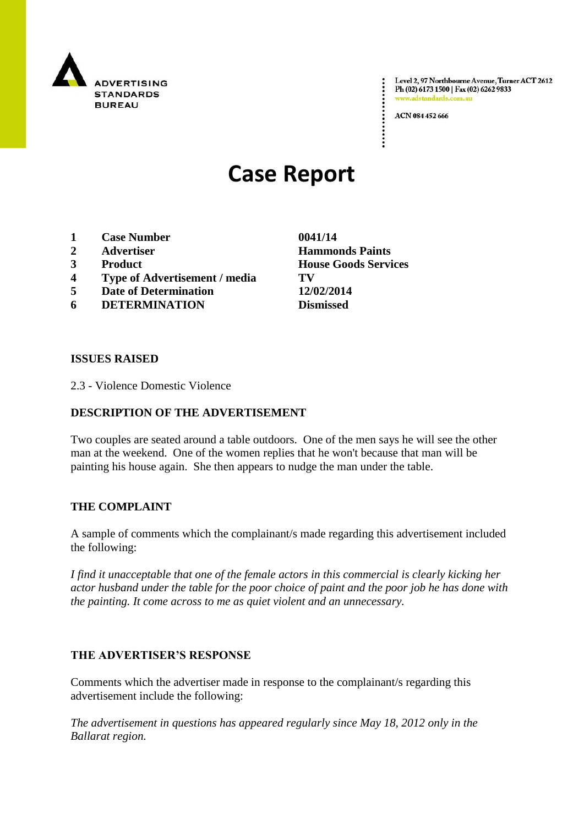

Level 2, 97 Northbourne Avenue, Turner ACT 2612 Ph (02) 6173 1500 | Fax (02) 6262 9833 www.adstandards.com.a

ACN 084 452 666

# **Case Report**

- **1 Case Number 0041/14**
- 
- 
- **4 Type of Advertisement / media TV**
- **5 Date of Determination 12/02/2014**
- **6 DETERMINATION Dismissed**

**ISSUES RAISED**

2.3 - Violence Domestic Violence

### **DESCRIPTION OF THE ADVERTISEMENT**

Two couples are seated around a table outdoors. One of the men says he will see the other man at the weekend. One of the women replies that he won't because that man will be painting his house again. She then appears to nudge the man under the table.

#### **THE COMPLAINT**

A sample of comments which the complainant/s made regarding this advertisement included the following:

*I find it unacceptable that one of the female actors in this commercial is clearly kicking her actor husband under the table for the poor choice of paint and the poor job he has done with the painting. It come across to me as quiet violent and an unnecessary.*

#### **THE ADVERTISER'S RESPONSE**

Comments which the advertiser made in response to the complainant/s regarding this advertisement include the following:

*The advertisement in questions has appeared regularly since May 18, 2012 only in the Ballarat region.*

**2 Advertiser Hammonds Paints 3 Product House Goods Services**